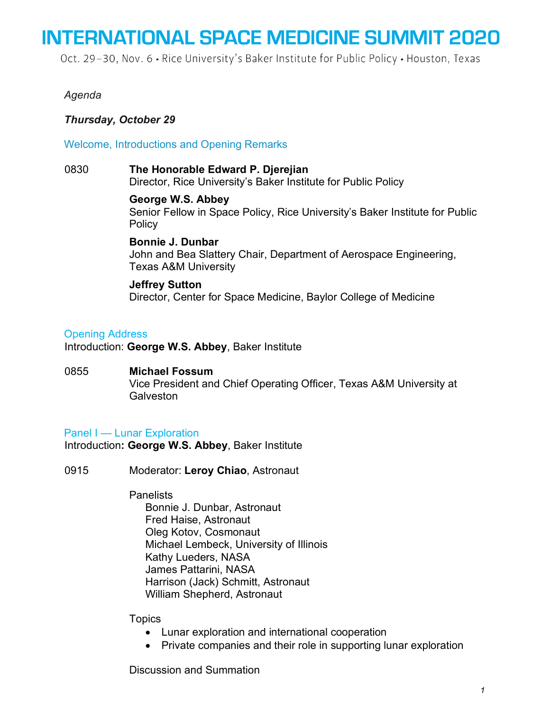Oct. 29-30, Nov. 6 · Rice University's Baker Institute for Public Policy · Houston, Texas

## *Agenda*

## *Thursday, October 29*

Welcome, Introductions and Opening Remarks

0830 **The Honorable Edward P. Djerejian** Director, Rice University's Baker Institute for Public Policy

> **George W.S. Abbey** Senior Fellow in Space Policy, Rice University's Baker Institute for Public **Policy**

**Bonnie J. Dunbar** John and Bea Slattery Chair, Department of Aerospace Engineering, Texas A&M University

#### **Jeffrey Sutton**

Director, Center for Space Medicine, Baylor College of Medicine

## Opening Address

Introduction: **George W.S. Abbey**, Baker Institute

0855 **Michael Fossum** Vice President and Chief Operating Officer, Texas A&M University at **Galveston** 

## Panel I — Lunar Exploration

Introduction**: George W.S. Abbey**, Baker Institute

0915 Moderator: **Leroy Chiao**, Astronaut

**Panelists** 

Bonnie J. Dunbar, Astronaut Fred Haise, Astronaut Oleg Kotov, Cosmonaut Michael Lembeck, University of Illinois Kathy Lueders, NASA James Pattarini, NASA Harrison (Jack) Schmitt, Astronaut William Shepherd, Astronaut

## **Topics**

- Lunar exploration and international cooperation
- Private companies and their role in supporting lunar exploration

Discussion and Summation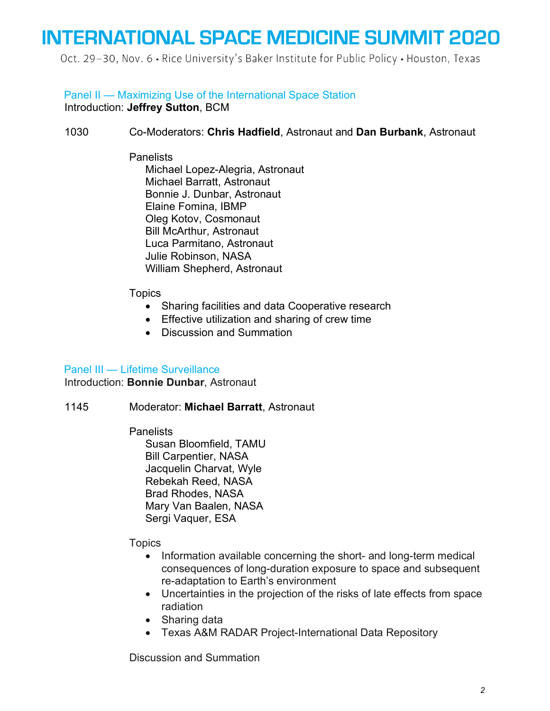Oct. 29-30, Nov. 6 - Rice University's Baker Institute for Public Policy - Houston, Texas

## Panel II — Maximizing Use of the International Space Station

Introduction: **Jeffrey Sutton**, BCM

## 1030 Co-Moderators: **Chris Hadfield**, Astronaut and **Dan Burbank**, Astronaut

## **Panelists**

Michael Lopez-Alegria, Astronaut Michael Barratt, Astronaut Bonnie J. Dunbar, Astronaut Elaine Fomina, IBMP Oleg Kotov, Cosmonaut Bill McArthur, Astronaut Luca Parmitano, Astronaut Julie Robinson, NASA William Shepherd, Astronaut

## **Topics**

- Sharing facilities and data Cooperative research
- Effective utilization and sharing of crew time
- Discussion and Summation

## Panel III — Lifetime Surveillance

Introduction: **Bonnie Dunbar**, Astronaut

## 1145 Moderator: **Michael Barratt**, Astronaut

**Panelists** 

Susan Bloomfield, TAMU Bill Carpentier, NASA Jacquelin Charvat, Wyle Rebekah Reed, NASA Brad Rhodes, NASA Mary Van Baalen, NASA Sergi Vaquer, ESA

**Topics** 

- Information available concerning the short- and long-term medical consequences of long-duration exposure to space and subsequent re-adaptation to Earth's environment
- Uncertainties in the projection of the risks of late effects from space radiation
- Sharing data
- Texas A&M RADAR Project-International Data Repository

Discussion and Summation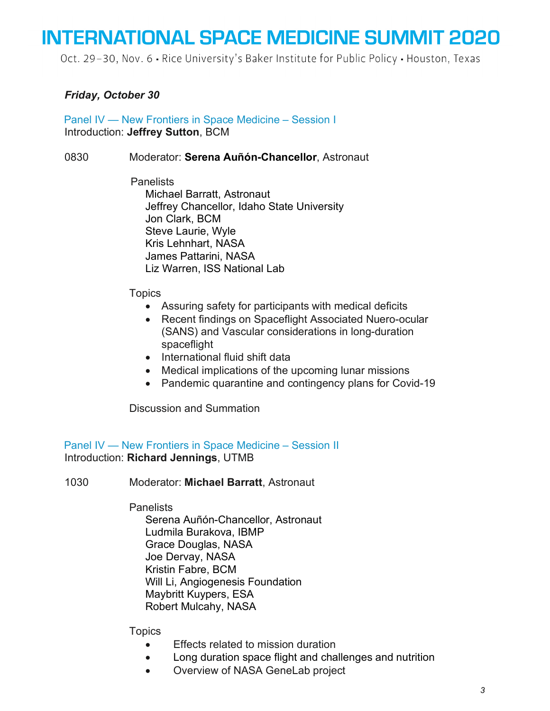Oct. 29-30, Nov. 6 · Rice University's Baker Institute for Public Policy · Houston, Texas

## *Friday, October 30*

Panel IV — New Frontiers in Space Medicine – Session I Introduction: **Jeffrey Sutton**, BCM

#### 0830 Moderator: **Serena Auñón-Chancellor**, Astronaut

**Panelists** Michael Barratt, Astronaut Jeffrey Chancellor, Idaho State University Jon Clark, BCM Steve Laurie, Wyle Kris Lehnhart, NASA James Pattarini, NASA Liz Warren, ISS National Lab

#### **Topics**

- Assuring safety for participants with medical deficits
- Recent findings on Spaceflight Associated Nuero-ocular (SANS) and Vascular considerations in long-duration spaceflight
- International fluid shift data
- Medical implications of the upcoming lunar missions
- Pandemic quarantine and contingency plans for Covid-19

Discussion and Summation

#### Panel IV — New Frontiers in Space Medicine – Session II Introduction: **Richard Jennings**, UTMB

1030 Moderator: **Michael Barratt**, Astronaut

#### Panelists

Serena Auñón-Chancellor, Astronaut Ludmila Burakova, IBMP Grace Douglas, NASA Joe Dervay, NASA Kristin Fabre, BCM Will Li, Angiogenesis Foundation Maybritt Kuypers, ESA Robert Mulcahy, NASA

#### **Topics**

- Effects related to mission duration
- Long duration space flight and challenges and nutrition
- Overview of NASA GeneLab project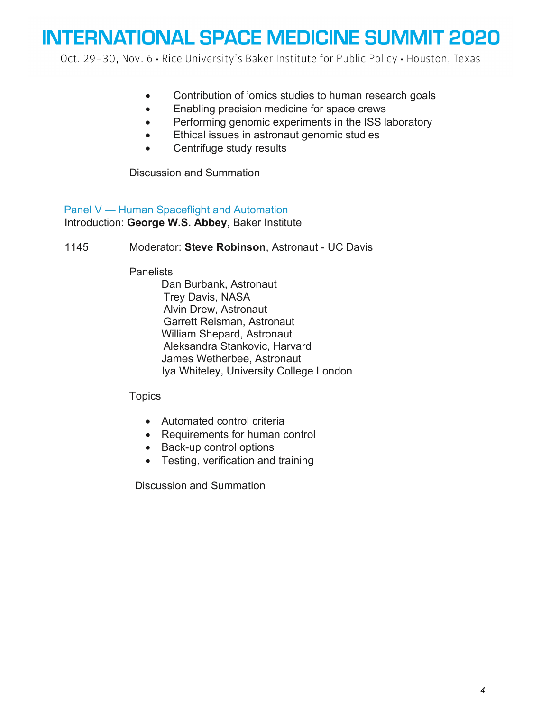Oct. 29-30, Nov. 6 - Rice University's Baker Institute for Public Policy - Houston, Texas

- Contribution of 'omics studies to human research goals
- Enabling precision medicine for space crews
- Performing genomic experiments in the ISS laboratory
- Ethical issues in astronaut genomic studies
- Centrifuge study results

Discussion and Summation

Panel V — Human Spaceflight and Automation Introduction: **George W.S. Abbey**, Baker Institute

1145 Moderator: **Steve Robinson**, Astronaut - UC Davis

**Panelists** 

Dan Burbank, Astronaut Trey Davis, NASA Alvin Drew, Astronaut Garrett Reisman, Astronaut William Shepard, Astronaut Aleksandra Stankovic, Harvard James Wetherbee, Astronaut Iya Whiteley, University College London

**Topics** 

- Automated control criteria
- Requirements for human control
- Back-up control options
- Testing, verification and training

Discussion and Summation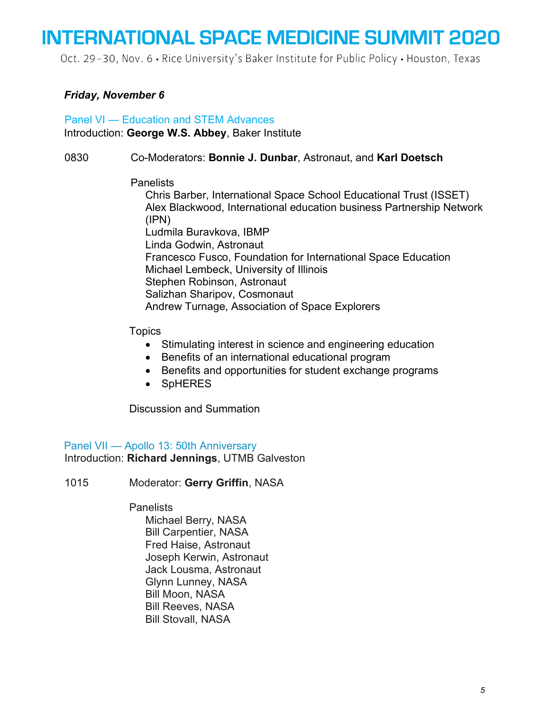Oct. 29-30, Nov. 6 · Rice University's Baker Institute for Public Policy · Houston, Texas

### *Friday, November 6*

### Panel VI — Education and STEM Advances Introduction: **George W.S. Abbey**, Baker Institute

#### 0830 Co-Moderators: **Bonnie J. Dunbar**, Astronaut, and **Karl Doetsch**

#### **Panelists**

Chris Barber, International Space School Educational Trust (ISSET) Alex Blackwood, International education business Partnership Network (IPN) Ludmila Buravkova, IBMP Linda Godwin, Astronaut Francesco Fusco, Foundation for International Space Education Michael Lembeck, University of Illinois Stephen Robinson, Astronaut Salizhan Sharipov, Cosmonaut Andrew Turnage, Association of Space Explorers

#### **Topics**

- Stimulating interest in science and engineering education
- Benefits of an international educational program
- Benefits and opportunities for student exchange programs
- SpHERES

Discussion and Summation

Panel VII — Apollo 13: 50th Anniversary Introduction: **Richard Jennings**, UTMB Galveston

1015 Moderator: **Gerry Griffin**, NASA

#### **Panelists**

Michael Berry, NASA Bill Carpentier, NASA Fred Haise, Astronaut Joseph Kerwin, Astronaut Jack Lousma, Astronaut Glynn Lunney, NASA Bill Moon, NASA Bill Reeves, NASA Bill Stovall, NASA